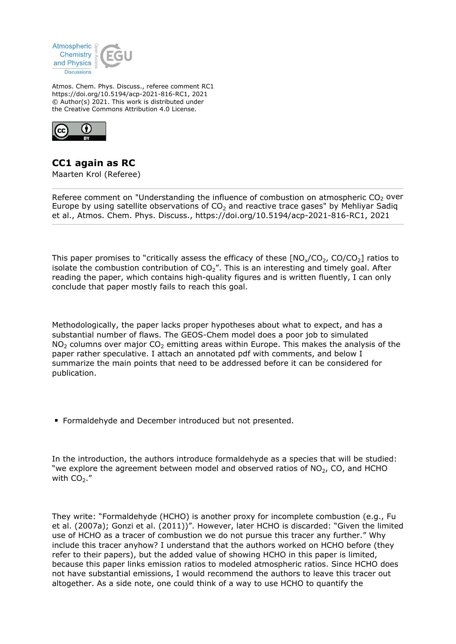

Atmos. Chem. Phys. Discuss., referee comment RC1 https://doi.org/10.5194/acp-2021-816-RC1, 2021 © Author(s) 2021. This work is distributed under the Creative Commons Attribution 4.0 License.



## **CC1 again as RC**

Maarten Krol (Referee)

Referee comment on "Understanding the influence of combustion on atmospheric  $CO<sub>2</sub>$  over Europe by using satellite observations of  $CO<sub>2</sub>$  and reactive trace gases" by Mehliyar Sadiq et al., Atmos. Chem. Phys. Discuss., https://doi.org/10.5194/acp-2021-816-RC1, 2021

This paper promises to "critically assess the efficacy of these  $[NO_x/CO_2, CO/CO_2]$  ratios to isolate the combustion contribution of  $CO<sub>2</sub>$ ". This is an interesting and timely goal. After reading the paper, which contains high-quality figures and is written fluently, I can only conclude that paper mostly fails to reach this goal.

Methodologically, the paper lacks proper hypotheses about what to expect, and has a substantial number of flaws. The GEOS-Chem model does a poor job to simulated  $NO<sub>2</sub>$  columns over major  $CO<sub>2</sub>$  emitting areas within Europe. This makes the analysis of the paper rather speculative. I attach an annotated pdf with comments, and below I summarize the main points that need to be addressed before it can be considered for publication.

Formaldehyde and December introduced but not presented.

In the introduction, the authors introduce formaldehyde as a species that will be studied: "we explore the agreement between model and observed ratios of  $NO<sub>2</sub>$ , CO, and HCHO with  $CO<sub>2</sub>$ ."

They write: "Formaldehyde (HCHO) is another proxy for incomplete combustion (e.g., Fu et al. (2007a); Gonzi et al. (2011))". However, later HCHO is discarded: "Given the limited use of HCHO as a tracer of combustion we do not pursue this tracer any further." Why include this tracer anyhow? I understand that the authors worked on HCHO before (they refer to their papers), but the added value of showing HCHO in this paper is limited, because this paper links emission ratios to modeled atmospheric ratios. Since HCHO does not have substantial emissions, I would recommend the authors to leave this tracer out altogether. As a side note, one could think of a way to use HCHO to quantify the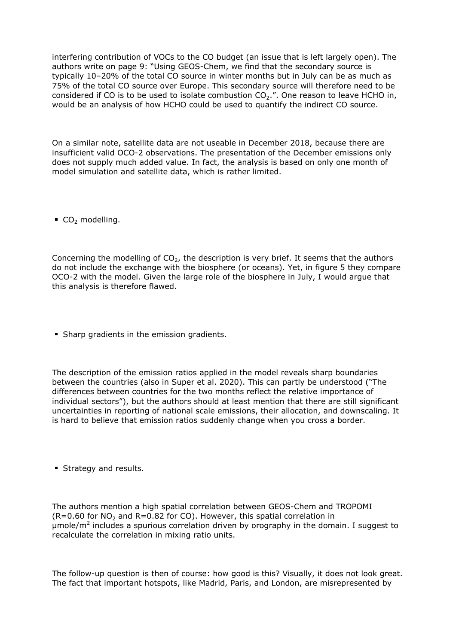interfering contribution of VOCs to the CO budget (an issue that is left largely open). The authors write on page 9: "Using GEOS-Chem, we find that the secondary source is typically 10–20% of the total CO source in winter months but in July can be as much as 75% of the total CO source over Europe. This secondary source will therefore need to be considered if CO is to be used to isolate combustion  $CO<sub>2</sub>$ .". One reason to leave HCHO in, would be an analysis of how HCHO could be used to quantify the indirect CO source.

On a similar note, satellite data are not useable in December 2018, because there are insufficient valid OCO-2 observations. The presentation of the December emissions only does not supply much added value. In fact, the analysis is based on only one month of model simulation and satellite data, which is rather limited.

 $CO<sub>2</sub>$  modelling.

Concerning the modelling of  $CO<sub>2</sub>$ , the description is very brief. It seems that the authors do not include the exchange with the biosphere (or oceans). Yet, in figure 5 they compare OCO-2 with the model. Given the large role of the biosphere in July, I would argue that this analysis is therefore flawed.

**Sharp gradients in the emission gradients.** 

The description of the emission ratios applied in the model reveals sharp boundaries between the countries (also in Super et al. 2020). This can partly be understood ("The differences between countries for the two months reflect the relative importance of individual sectors"), but the authors should at least mention that there are still significant uncertainties in reporting of national scale emissions, their allocation, and downscaling. It is hard to believe that emission ratios suddenly change when you cross a border.

**Strategy and results.** 

The authors mention a high spatial correlation between GEOS-Chem and TROPOMI  $(R=0.60$  for NO<sub>2</sub> and R=0.82 for CO). However, this spatial correlation in μmole/m<sup>2</sup> includes a spurious correlation driven by orography in the domain. I suggest to recalculate the correlation in mixing ratio units.

The follow-up question is then of course: how good is this? Visually, it does not look great. The fact that important hotspots, like Madrid, Paris, and London, are misrepresented by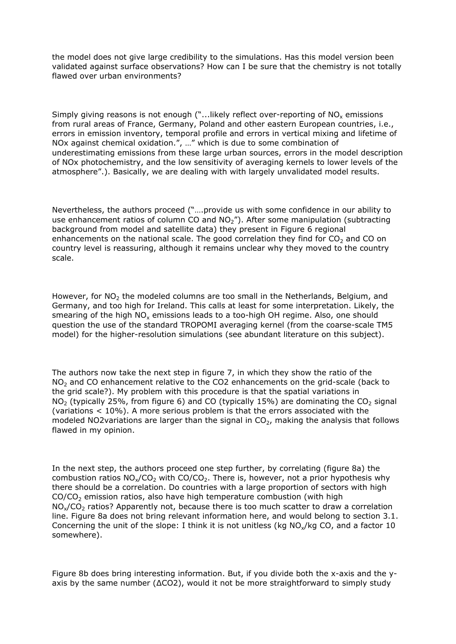the model does not give large credibility to the simulations. Has this model version been validated against surface observations? How can I be sure that the chemistry is not totally flawed over urban environments?

Simply giving reasons is not enough ("...likely reflect over-reporting of  $\mathsf{NO}_\mathsf{x}$  emissions from rural areas of France, Germany, Poland and other eastern European countries, i.e., errors in emission inventory, temporal profile and errors in vertical mixing and lifetime of NOx against chemical oxidation.", …" which is due to some combination of underestimating emissions from these large urban sources, errors in the model description of NOx photochemistry, and the low sensitivity of averaging kernels to lower levels of the atmosphere".). Basically, we are dealing with with largely unvalidated model results.

Nevertheless, the authors proceed ("….provide us with some confidence in our ability to use enhancement ratios of column CO and  $NO<sub>2</sub>$ "). After some manipulation (subtracting background from model and satellite data) they present in Figure 6 regional enhancements on the national scale. The good correlation they find for  $CO<sub>2</sub>$  and CO on country level is reassuring, although it remains unclear why they moved to the country scale.

However, for  $NO<sub>2</sub>$  the modeled columns are too small in the Netherlands, Belgium, and Germany, and too high for Ireland. This calls at least for some interpretation. Likely, the smearing of the high  $\mathsf{NO}_\mathsf{x}$  emissions leads to a too-high OH regime. Also, one should question the use of the standard TROPOMI averaging kernel (from the coarse-scale TM5 model) for the higher-resolution simulations (see abundant literature on this subject).

The authors now take the next step in figure 7, in which they show the ratio of the  $NO<sub>2</sub>$  and CO enhancement relative to the CO2 enhancements on the grid-scale (back to the grid scale?). My problem with this procedure is that the spatial variations in  $NO<sub>2</sub>$  (typically 25%, from figure 6) and CO (typically 15%) are dominating the CO<sub>2</sub> signal (variations < 10%). A more serious problem is that the errors associated with the modeled NO2variations are larger than the signal in  $CO<sub>2</sub>$ , making the analysis that follows flawed in my opinion.

In the next step, the authors proceed one step further, by correlating (figure 8a) the combustion ratios  $NO_x/CO_2$  with  $CO/CO_2$ . There is, however, not a prior hypothesis why there should be a correlation. Do countries with a large proportion of sectors with high  $CO/CO<sub>2</sub>$  emission ratios, also have high temperature combustion (with high  $NO<sub>x</sub>/CO<sub>2</sub>$  ratios? Apparently not, because there is too much scatter to draw a correlation line. Figure 8a does not bring relevant information here, and would belong to section 3.1. Concerning the unit of the slope: I think it is not unitless (kg  $NO_x/kg CO$ , and a factor 10 somewhere).

Figure 8b does bring interesting information. But, if you divide both the x-axis and the yaxis by the same number (ΔCO2), would it not be more straightforward to simply study